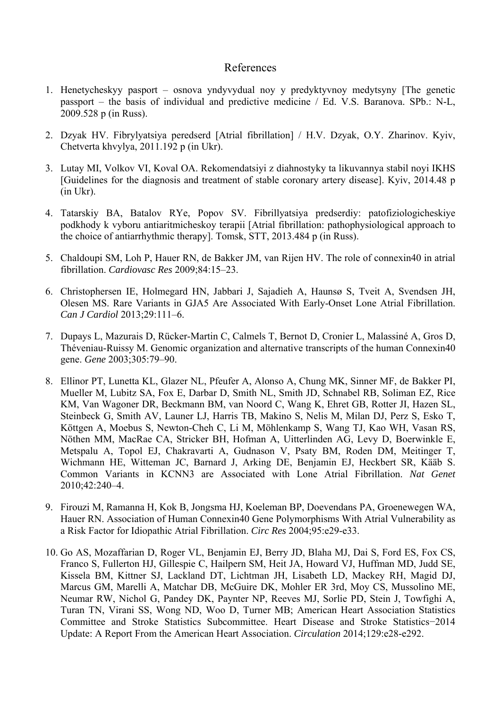## References

- 1. Henetycheskyy pasport osnova yndyvydual noy y predyktyvnoy medytsyny [The genetic passport – the basis of individual and predictive medicine / Ed. V.S. Baranova. SPb.: N-L, 2009.528 p (in Russ).
- 2. Dzyak HV. Fibrylyatsiya peredserd [Atrial fibrillation] / H.V. Dzyak, O.Y. Zharinov. Kyiv, Chetverta khvylya, 2011.192 p (in Ukr).
- 3. Lutay MI, Volkov VI, Koval OA. Rekomendatsiyi z diahnostyky ta likuvannya stabil noyi IKHS [Guidelines for the diagnosis and treatment of stable coronary artery disease]. Kyiv, 2014.48 p (in Ukr).
- 4. Tatarskiy BA, Batalov RYe, Popov SV. Fibrillyatsiya predserdiy: patofiziologicheskiye podkhody k vyboru antiaritmicheskoy terapii [Atrial fibrillation: pathophysiological approach to the choice of antiarrhythmic therapy]. Tomsk, STT, 2013.484 p (in Russ).
- 5. Chaldoupi SM, Loh P, Hauer RN, de Bakker JM, van Rijen HV. The role of connexin40 in atrial fibrillation. *Cardiovasc Res* 2009;84:15–23.
- 6. Christophersen IE, Holmegard HN, Jabbari J, Sajadieh A, Haunsø S, Tveit A, Svendsen JH, Olesen MS. Rare Variants in GJA5 Are Associated With Early-Onset Lone Atrial Fibrillation. *Can J Cardiol* 2013;29:111–6.
- 7. Dupays L, Mazurais D, Rücker-Martin C, Calmels T, Bernot D, Cronier L, Malassiné A, Gros D, Théveniau-Ruissy M. Genomic organization and alternative transcripts of the human Connexin40 gene. *Gene* 2003;305:79–90.
- 8. Ellinor PT, Lunetta KL, Glazer NL, Pfeufer A, Alonso A, Chung MK, Sinner MF, de Bakker PI, Mueller M, Lubitz SA, Fox E, Darbar D, Smith NL, Smith JD, Schnabel RB, Soliman EZ, Rice KM, Van Wagoner DR, Beckmann BM, van Noord C, Wang K, Ehret GB, Rotter JI, Hazen SL, Steinbeck G, Smith AV, Launer LJ, Harris TB, Makino S, Nelis M, Milan DJ, Perz S, Esko T, Köttgen A, Moebus S, Newton-Cheh C, Li M, Möhlenkamp S, Wang TJ, Kao WH, Vasan RS, Nöthen MM, MacRae CA, Stricker BH, Hofman A, Uitterlinden AG, Levy D, Boerwinkle E, Metspalu A, Topol EJ, Chakravarti A, Gudnason V, Psaty BM, Roden DM, Meitinger T, Wichmann HE, Witteman JC, Barnard J, Arking DE, Benjamin EJ, Heckbert SR, Kääb S. Common Variants in KCNN3 are Associated with Lone Atrial Fibrillation. *Nat Genet* 2010;42:240–4.
- 9. Firouzi M, Ramanna H, Kok B, Jongsma HJ, Koeleman BP, Doevendans PA, Groenewegen WA, Hauer RN. Association of Human Connexin40 Gene Polymorphisms With Atrial Vulnerability as a Risk Factor for Idiopathic Atrial Fibrillation. *Circ Res* 2004;95:e29-e33.
- 10. Go AS, Mozaffarian D, Roger VL, Benjamin EJ, Berry JD, Blaha MJ, Dai S, Ford ES, Fox CS, Franco S, Fullerton HJ, Gillespie C, Hailpern SM, Heit JA, Howard VJ, Huffman MD, Judd SE, Kissela BM, Kittner SJ, Lackland DT, Lichtman JH, Lisabeth LD, Mackey RH, Magid DJ, Marcus GM, Marelli A, Matchar DB, McGuire DK, Mohler ER 3rd, Moy CS, Mussolino ME, Neumar RW, Nichol G, Pandey DK, Paynter NP, Reeves MJ, Sorlie PD, Stein J, Towfighi A, Turan TN, Virani SS, Wong ND, Woo D, Turner MB; American Heart Association Statistics Committee and Stroke Statistics Subcommittee. Heart Disease and Stroke Statistics−2014 Update: A Report From the American Heart Association. *Circulation* 2014;129:e28-e292.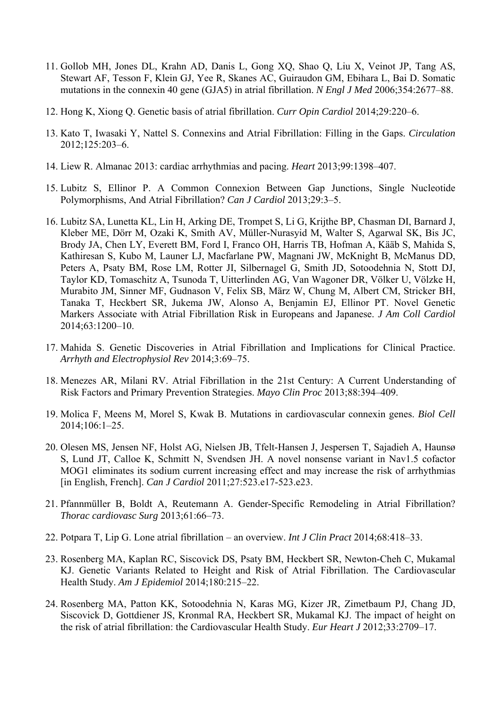- 11. Gollob MH, Jones DL, Krahn AD, Danis L, Gong XQ, Shao Q, Liu X, Veinot JP, Tang AS, Stewart AF, Tesson F, Klein GJ, Yee R, Skanes AC, Guiraudon GM, Ebihara L, Bai D. Somatic mutations in the connexin 40 gene (GJA5) in atrial fibrillation. *N Engl J Med* 2006;354:2677–88.
- 12. Hong K, Xiong Q. Genetic basis of atrial fibrillation. *Curr Opin Cardiol* 2014;29:220–6.
- 13. Kato T, Iwasaki Y, Nattel S. Connexins and Atrial Fibrillation: Filling in the Gaps. *Circulation* 2012;125:203–6.
- 14. Liew R. Almanac 2013: cardiac arrhythmias and pacing. *Heart* 2013;99:1398–407.
- 15. Lubitz S, Ellinor P. A Common Connexion Between Gap Junctions, Single Nucleotide Polymorphisms, And Atrial Fibrillation? *Can J Cardiol* 2013;29:3–5.
- 16. Lubitz SA, Lunetta KL, Lin H, Arking DE, Trompet S, Li G, Krijthe BP, Chasman DI, Barnard J, Kleber ME, Dörr M, Ozaki K, Smith AV, Müller-Nurasyid M, Walter S, Agarwal SK, Bis JC, Brody JA, Chen LY, Everett BM, Ford I, Franco OH, Harris TB, Hofman A, Kääb S, Mahida S, Kathiresan S, Kubo M, Launer LJ, Macfarlane PW, Magnani JW, McKnight B, McManus DD, Peters A, Psaty BM, Rose LM, Rotter JI, Silbernagel G, Smith JD, Sotoodehnia N, Stott DJ, Taylor KD, Tomaschitz A, Tsunoda T, Uitterlinden AG, Van Wagoner DR, Völker U, Völzke H, Murabito JM, Sinner MF, Gudnason V, Felix SB, März W, Chung M, Albert CM, Stricker BH, Tanaka T, Heckbert SR, Jukema JW, Alonso A, Benjamin EJ, Ellinor PT. Novel Genetic Markers Associate with Atrial Fibrillation Risk in Europeans and Japanese. *J Am Coll Cardiol* 2014;63:1200–10.
- 17. Mahida S. Genetic Discoveries in Atrial Fibrillation and Implications for Clinical Practice. *Arrhyth and Electrophysiol Rev* 2014;3:69–75.
- 18. Menezes AR, Milani RV. Atrial Fibrillation in the 21st Century: A Current Understanding of Risk Factors and Primary Prevention Strategies. *Mayo Clin Proc* 2013;88:394–409.
- 19. Molica F, Meens M, Morel S, Kwak B. Mutations in cardiovascular connexin genes. *Biol Cell* 2014;106:1–25.
- 20. Olesen MS, Jensen NF, Holst AG, Nielsen JB, Tfelt-Hansen J, Jespersen T, Sajadieh A, Haunsø S, Lund JT, Calloe K, Schmitt N, Svendsen JH. A novel nonsense variant in Nav1.5 cofactor MOG1 eliminates its sodium current increasing effect and may increase the risk of arrhythmias [in English, French]. *Can J Cardiol* 2011;27:523.e17-523.e23.
- 21. Pfannmüller B, Boldt A, Reutemann A. Gender-Specific Remodeling in Atrial Fibrillation? *Thorac cardiovasc Surg* 2013;61:66–73.
- 22. Potpara T, Lip G. Lone atrial fibrillation an overview. *Int J Clin Pract* 2014;68:418–33.
- 23. Rosenberg MA, Kaplan RC, Siscovick DS, Psaty BM, Heckbert SR, Newton-Cheh C, Mukamal KJ. Genetic Variants Related to Height and Risk of Atrial Fibrillation. The Cardiovascular Health Study. *Am J Epidemiol* 2014;180:215–22.
- 24. Rosenberg MA, Patton KK, Sotoodehnia N, Karas MG, Kizer JR, Zimetbaum PJ, Chang JD, Siscovick D, Gottdiener JS, Kronmal RA, Heckbert SR, Mukamal KJ. The impact of height on the risk of atrial fibrillation: the Cardiovascular Health Study. *Eur Heart J* 2012;33:2709–17.